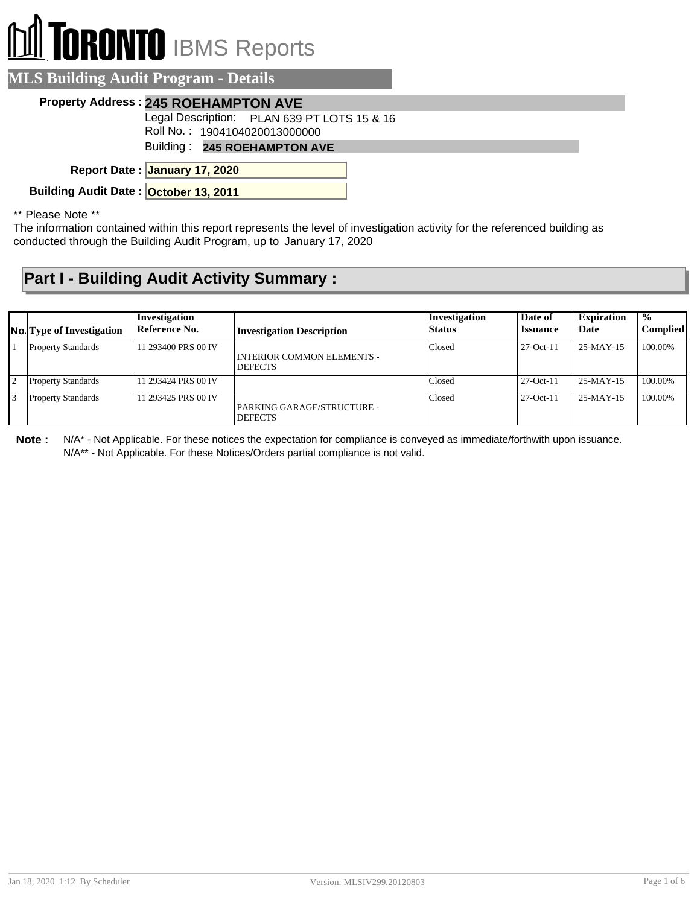## **I TORONTO** IBMS Reports

| <b>MLS Building Audit Program - Details</b> |                                                                              |  |
|---------------------------------------------|------------------------------------------------------------------------------|--|
| <b>Property Address: 245 ROEHAMPTON AVE</b> |                                                                              |  |
|                                             | Legal Description: PLAN 639 PT LOTS 15 & 16<br>Roll No.: 1904104020013000000 |  |
|                                             | Building: 245 ROEHAMPTON AVE                                                 |  |
| Report Date: January 17, 2020               |                                                                              |  |
| Building Audit Date: October 13, 2011       |                                                                              |  |

\*\* Please Note \*\*

The information contained within this report represents the level of investigation activity for the referenced building as conducted through the Building Audit Program, up to January 17, 2020

## **Part I - Building Audit Activity Summary :**

|                | <b>No.</b> Type of Investigation | Investigation<br>Reference No. | <b>Investigation Description</b>             | Investigation<br><b>Status</b> | Date of<br><i><b>Issuance</b></i> | <b>Expiration</b><br>Date | $\frac{0}{0}$<br>Complied |
|----------------|----------------------------------|--------------------------------|----------------------------------------------|--------------------------------|-----------------------------------|---------------------------|---------------------------|
|                | <b>Property Standards</b>        | 11 293400 PRS 00 IV            | INTERIOR COMMON ELEMENTS -<br><b>DEFECTS</b> | Closed                         | $27-Oct-11$                       | 25-MAY-15                 | 100.00%                   |
| $\overline{2}$ | <b>Property Standards</b>        | 11 293424 PRS 00 IV            |                                              | Closed                         | $27-Oct-11$                       | $25-MAY-15$               | 100.00%                   |
| 3              | <b>Property Standards</b>        | 11 293425 PRS 00 IV            | PARKING GARAGE/STRUCTURE -<br><b>DEFECTS</b> | Closed                         | $27-Oct-11$                       | $25-MAY-15$               | 100.00%                   |

**Note :** N/A\* - Not Applicable. For these notices the expectation for compliance is conveyed as immediate/forthwith upon issuance. N/A\*\* - Not Applicable. For these Notices/Orders partial compliance is not valid.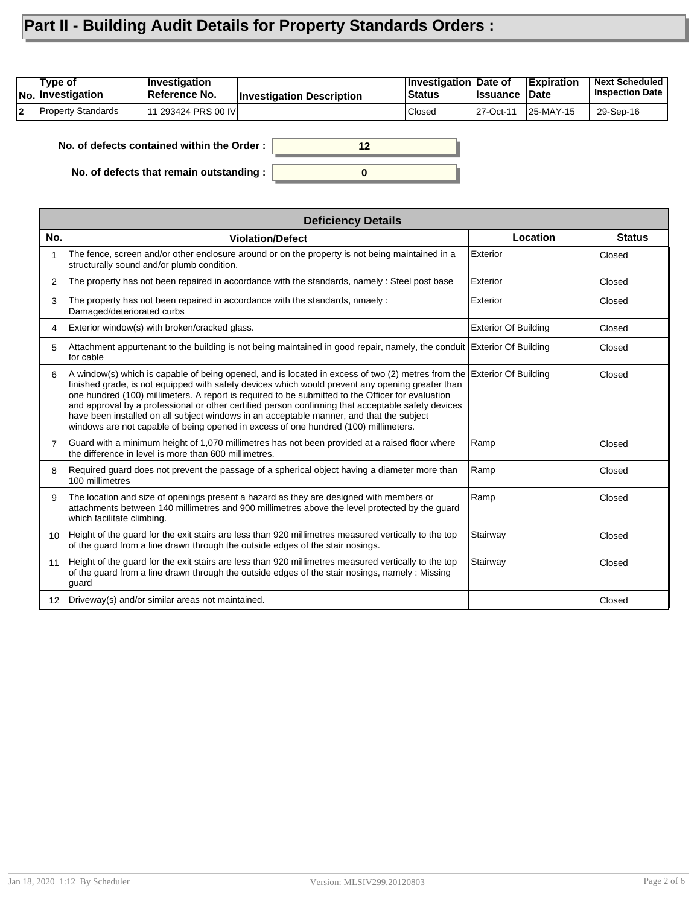## **Part II - Building Audit Details for Property Standards Orders :**

| Type of<br>No. Investigation | ∣Investiɑation<br>Reference No. | <b>Investigation Description</b> | <b>Investigation Date of</b><br><b>Status</b> | <b>I</b> ssuance | Expiration<br>∣Date | <b>Next Scheduled</b><br><b>Inspection Date</b> |
|------------------------------|---------------------------------|----------------------------------|-----------------------------------------------|------------------|---------------------|-------------------------------------------------|
| Property Standards           | 111 293424 PRS 00 IVI           |                                  | Closed                                        | 27-Oct-11        | 25-MAY-15!          | 29-Sep-16                                       |

**No. of defects contained within the Order :**

**No. of defects that remain outstanding :**



|                   | <b>Deficiency Details</b>                                                                                                                                                                                                                                                                                                                                                                                                                                                                                                                                                                                                |                             |               |
|-------------------|--------------------------------------------------------------------------------------------------------------------------------------------------------------------------------------------------------------------------------------------------------------------------------------------------------------------------------------------------------------------------------------------------------------------------------------------------------------------------------------------------------------------------------------------------------------------------------------------------------------------------|-----------------------------|---------------|
| No.               | <b>Violation/Defect</b>                                                                                                                                                                                                                                                                                                                                                                                                                                                                                                                                                                                                  | Location                    | <b>Status</b> |
|                   | The fence, screen and/or other enclosure around or on the property is not being maintained in a<br>structurally sound and/or plumb condition.                                                                                                                                                                                                                                                                                                                                                                                                                                                                            | Exterior                    | Closed        |
| 2                 | The property has not been repaired in accordance with the standards, namely: Steel post base                                                                                                                                                                                                                                                                                                                                                                                                                                                                                                                             | Exterior                    | Closed        |
| 3                 | The property has not been repaired in accordance with the standards, nmaely :<br>Damaged/deteriorated curbs                                                                                                                                                                                                                                                                                                                                                                                                                                                                                                              | Exterior                    | Closed        |
| 4                 | Exterior window(s) with broken/cracked glass.                                                                                                                                                                                                                                                                                                                                                                                                                                                                                                                                                                            | <b>Exterior Of Building</b> | Closed        |
| 5                 | Attachment appurtenant to the building is not being maintained in good repair, namely, the conduit Exterior Of Building<br>for cable                                                                                                                                                                                                                                                                                                                                                                                                                                                                                     |                             | Closed        |
| 6                 | A window(s) which is capable of being opened, and is located in excess of two (2) metres from the Exterior Of Building<br>finished grade, is not equipped with safety devices which would prevent any opening greater than<br>one hundred (100) millimeters. A report is required to be submitted to the Officer for evaluation<br>and approval by a professional or other certified person confirming that acceptable safety devices<br>have been installed on all subject windows in an acceptable manner, and that the subject<br>windows are not capable of being opened in excess of one hundred (100) millimeters. |                             | Closed        |
| 7                 | Guard with a minimum height of 1,070 millimetres has not been provided at a raised floor where<br>the difference in level is more than 600 millimetres.                                                                                                                                                                                                                                                                                                                                                                                                                                                                  | Ramp                        | Closed        |
| 8                 | Required guard does not prevent the passage of a spherical object having a diameter more than<br>100 millimetres                                                                                                                                                                                                                                                                                                                                                                                                                                                                                                         | Ramp                        | Closed        |
| 9                 | The location and size of openings present a hazard as they are designed with members or<br>attachments between 140 millimetres and 900 millimetres above the level protected by the guard<br>which facilitate climbing.                                                                                                                                                                                                                                                                                                                                                                                                  | Ramp                        | Closed        |
| 10 <sup>1</sup>   | Height of the guard for the exit stairs are less than 920 millimetres measured vertically to the top<br>of the guard from a line drawn through the outside edges of the stair nosings.                                                                                                                                                                                                                                                                                                                                                                                                                                   | Stairway                    | Closed        |
| 11                | Height of the guard for the exit stairs are less than 920 millimetres measured vertically to the top<br>of the guard from a line drawn through the outside edges of the stair nosings, namely : Missing<br>guard                                                                                                                                                                                                                                                                                                                                                                                                         | Stairway                    | Closed        |
| $12 \overline{ }$ | Driveway(s) and/or similar areas not maintained.                                                                                                                                                                                                                                                                                                                                                                                                                                                                                                                                                                         |                             | Closed        |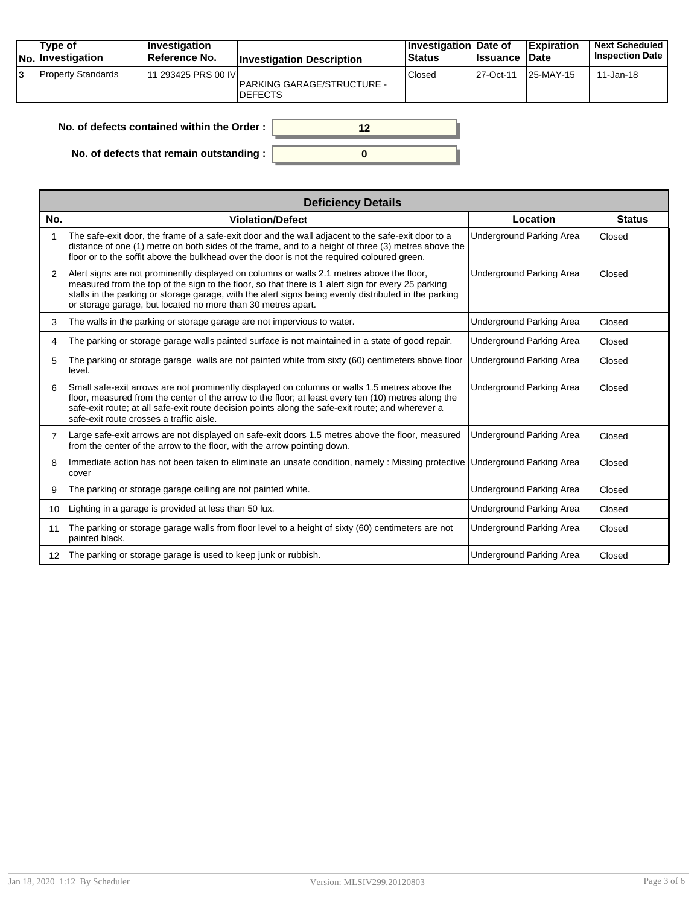|    | Type of<br><b>No.</b> Investigation | ∣Investiqation<br>Reference No. | <b>Investigation Description</b>                    | Investigation Date of<br><b>Status</b> | <b>Issuance Date</b> | <b>Expiration</b> | <b>Next Scheduled</b><br><b>Inspection Date</b> |
|----|-------------------------------------|---------------------------------|-----------------------------------------------------|----------------------------------------|----------------------|-------------------|-------------------------------------------------|
| l3 | <b>Property Standards</b>           | 11 293425 PRS 00 IVI            | <b>PARKING GARAGE/STRUCTURE -</b><br><b>DEFECTS</b> | Closed                                 | 27-Oct-11            | 25-MAY-15         | 11-Jan-18                                       |

| No. of defects contained within the Order :      |  |
|--------------------------------------------------|--|
| No. of defects that remain outstanding : $\vert$ |  |

|                   | <b>Deficiency Details</b>                                                                                                                                                                                                                                                                                                                                                |                          |               |
|-------------------|--------------------------------------------------------------------------------------------------------------------------------------------------------------------------------------------------------------------------------------------------------------------------------------------------------------------------------------------------------------------------|--------------------------|---------------|
| No.               | <b>Violation/Defect</b>                                                                                                                                                                                                                                                                                                                                                  | Location                 | <b>Status</b> |
|                   | The safe-exit door, the frame of a safe-exit door and the wall adjacent to the safe-exit door to a<br>distance of one (1) metre on both sides of the frame, and to a height of three (3) metres above the<br>floor or to the soffit above the bulkhead over the door is not the required coloured green.                                                                 | Underground Parking Area | Closed        |
| $\overline{2}$    | Alert signs are not prominently displayed on columns or walls 2.1 metres above the floor,<br>measured from the top of the sign to the floor, so that there is 1 alert sign for every 25 parking<br>stalls in the parking or storage garage, with the alert signs being evenly distributed in the parking<br>or storage garage, but located no more than 30 metres apart. | Underground Parking Area | Closed        |
| 3                 | The walls in the parking or storage garage are not impervious to water.                                                                                                                                                                                                                                                                                                  | Underground Parking Area | Closed        |
| 4                 | The parking or storage garage walls painted surface is not maintained in a state of good repair.                                                                                                                                                                                                                                                                         | Underground Parking Area | Closed        |
| 5                 | The parking or storage garage walls are not painted white from sixty (60) centimeters above floor<br>level.                                                                                                                                                                                                                                                              | Underground Parking Area | Closed        |
| 6                 | Small safe-exit arrows are not prominently displayed on columns or walls 1.5 metres above the<br>floor, measured from the center of the arrow to the floor; at least every ten (10) metres along the<br>safe-exit route; at all safe-exit route decision points along the safe-exit route; and wherever a<br>safe-exit route crosses a traffic aisle.                    | Underground Parking Area | Closed        |
| $\overline{7}$    | Large safe-exit arrows are not displayed on safe-exit doors 1.5 metres above the floor, measured<br>from the center of the arrow to the floor, with the arrow pointing down.                                                                                                                                                                                             | Underground Parking Area | Closed        |
| 8                 | Immediate action has not been taken to eliminate an unsafe condition, namely : Missing protective<br>cover                                                                                                                                                                                                                                                               | Underground Parking Area | Closed        |
| 9                 | The parking or storage garage ceiling are not painted white.                                                                                                                                                                                                                                                                                                             | Underground Parking Area | Closed        |
| 10                | Lighting in a garage is provided at less than 50 lux.                                                                                                                                                                                                                                                                                                                    | Underground Parking Area | Closed        |
| 11                | The parking or storage garage walls from floor level to a height of sixty (60) centimeters are not<br>painted black.                                                                                                                                                                                                                                                     | Underground Parking Area | Closed        |
| $12 \overline{ }$ | The parking or storage garage is used to keep junk or rubbish.                                                                                                                                                                                                                                                                                                           | Underground Parking Area | Closed        |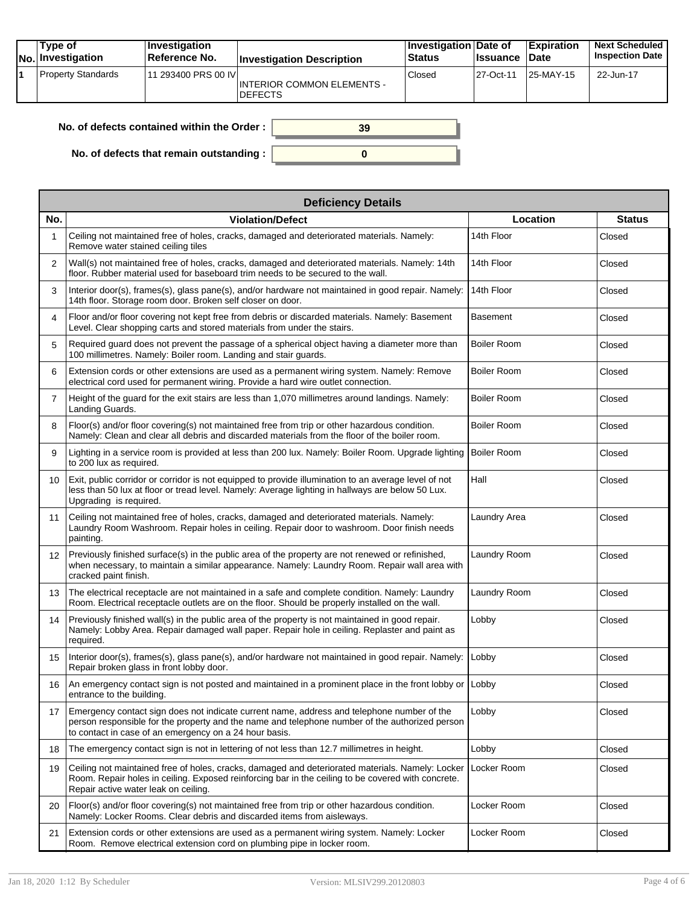| Type of<br><b>No. Investigation</b> | <b>Investigation</b><br>Reference No. | <b>Investigation Description</b>                    | Investigation Date of<br>Status | ∣Issuance | <b>Expiration</b><br><b>Date</b> | <b>Next Scheduled</b><br><b>Inspection Date</b> |
|-------------------------------------|---------------------------------------|-----------------------------------------------------|---------------------------------|-----------|----------------------------------|-------------------------------------------------|
| <b>Property Standards</b>           | 11 293400 PRS 00 IVI                  | <b>INTERIOR COMMON ELEMENTS -</b><br><b>DEFECTS</b> | Closed                          | 27-Oct-11 | 25-MAY-15                        | 22-Jun-17                                       |

| No. of defects contained within the Order : $\ $ | 39 |
|--------------------------------------------------|----|
|                                                  |    |
| No. of defects that remain outstanding : $\vert$ |    |

|                 | <b>Deficiency Details</b>                                                                                                                                                                                                                              |                    |               |  |  |  |  |  |
|-----------------|--------------------------------------------------------------------------------------------------------------------------------------------------------------------------------------------------------------------------------------------------------|--------------------|---------------|--|--|--|--|--|
| No.             | <b>Violation/Defect</b>                                                                                                                                                                                                                                | Location           | <b>Status</b> |  |  |  |  |  |
| 1               | Ceiling not maintained free of holes, cracks, damaged and deteriorated materials. Namely:<br>Remove water stained ceiling tiles                                                                                                                        | 14th Floor         | Closed        |  |  |  |  |  |
| 2               | Wall(s) not maintained free of holes, cracks, damaged and deteriorated materials. Namely: 14th<br>floor. Rubber material used for baseboard trim needs to be secured to the wall.                                                                      | 14th Floor         | Closed        |  |  |  |  |  |
| 3               | Interior door(s), frames(s), glass pane(s), and/or hardware not maintained in good repair. Namely:<br>14th floor. Storage room door. Broken self closer on door.                                                                                       | 14th Floor         | Closed        |  |  |  |  |  |
| 4               | Floor and/or floor covering not kept free from debris or discarded materials. Namely: Basement<br>Level. Clear shopping carts and stored materials from under the stairs.                                                                              | <b>Basement</b>    | Closed        |  |  |  |  |  |
| 5               | Required guard does not prevent the passage of a spherical object having a diameter more than<br>100 millimetres. Namely: Boiler room. Landing and stair guards.                                                                                       | <b>Boiler Room</b> | Closed        |  |  |  |  |  |
| 6               | Extension cords or other extensions are used as a permanent wiring system. Namely: Remove<br>electrical cord used for permanent wiring. Provide a hard wire outlet connection.                                                                         | <b>Boiler Room</b> | Closed        |  |  |  |  |  |
| $\overline{7}$  | Height of the guard for the exit stairs are less than 1,070 millimetres around landings. Namely:<br>Landing Guards.                                                                                                                                    | <b>Boiler Room</b> | Closed        |  |  |  |  |  |
| 8               | Floor(s) and/or floor covering(s) not maintained free from trip or other hazardous condition.<br>Namely: Clean and clear all debris and discarded materials from the floor of the boiler room.                                                         | <b>Boiler Room</b> | Closed        |  |  |  |  |  |
| 9               | Lighting in a service room is provided at less than 200 lux. Namely: Boiler Room. Upgrade lighting<br>to 200 lux as required.                                                                                                                          | <b>Boiler Room</b> | Closed        |  |  |  |  |  |
| 10              | Exit, public corridor or corridor is not equipped to provide illumination to an average level of not<br>less than 50 lux at floor or tread level. Namely: Average lighting in hallways are below 50 Lux.<br>Upgrading is required.                     | Hall               | Closed        |  |  |  |  |  |
| 11              | Ceiling not maintained free of holes, cracks, damaged and deteriorated materials. Namely:<br>Laundry Room Washroom. Repair holes in ceiling. Repair door to washroom. Door finish needs<br>painting.                                                   | Laundry Area       | Closed        |  |  |  |  |  |
| 12 <sup>°</sup> | Previously finished surface(s) in the public area of the property are not renewed or refinished,<br>when necessary, to maintain a similar appearance. Namely: Laundry Room. Repair wall area with<br>cracked paint finish.                             | Laundry Room       | Closed        |  |  |  |  |  |
| 13              | The electrical receptacle are not maintained in a safe and complete condition. Namely: Laundry<br>Room. Electrical receptacle outlets are on the floor. Should be properly installed on the wall.                                                      | Laundry Room       | Closed        |  |  |  |  |  |
| 14              | Previously finished wall(s) in the public area of the property is not maintained in good repair.<br>Namely: Lobby Area. Repair damaged wall paper. Repair hole in ceiling. Replaster and paint as<br>required.                                         | Lobby              | Closed        |  |  |  |  |  |
| 15              | Interior door(s), frames(s), glass pane(s), and/or hardware not maintained in good repair. Namely:<br>Repair broken glass in front lobby door.                                                                                                         | Lobby              | Closed        |  |  |  |  |  |
| 16              | An emergency contact sign is not posted and maintained in a prominent place in the front lobby or<br>entrance to the building.                                                                                                                         | Lobby              | Closed        |  |  |  |  |  |
| 17              | Emergency contact sign does not indicate current name, address and telephone number of the<br>person responsible for the property and the name and telephone number of the authorized person<br>to contact in case of an emergency on a 24 hour basis. | Lobby              | Closed        |  |  |  |  |  |
| 18              | The emergency contact sign is not in lettering of not less than 12.7 millimetres in height.                                                                                                                                                            | Lobby              | Closed        |  |  |  |  |  |
| 19              | Ceiling not maintained free of holes, cracks, damaged and deteriorated materials. Namely: Locker<br>Room. Repair holes in ceiling. Exposed reinforcing bar in the ceiling to be covered with concrete.<br>Repair active water leak on ceiling.         | Locker Room        | Closed        |  |  |  |  |  |
| 20              | Floor(s) and/or floor covering(s) not maintained free from trip or other hazardous condition.<br>Namely: Locker Rooms. Clear debris and discarded items from aisleways.                                                                                | Locker Room        | Closed        |  |  |  |  |  |
| 21              | Extension cords or other extensions are used as a permanent wiring system. Namely: Locker<br>Room. Remove electrical extension cord on plumbing pipe in locker room.                                                                                   | Locker Room        | Closed        |  |  |  |  |  |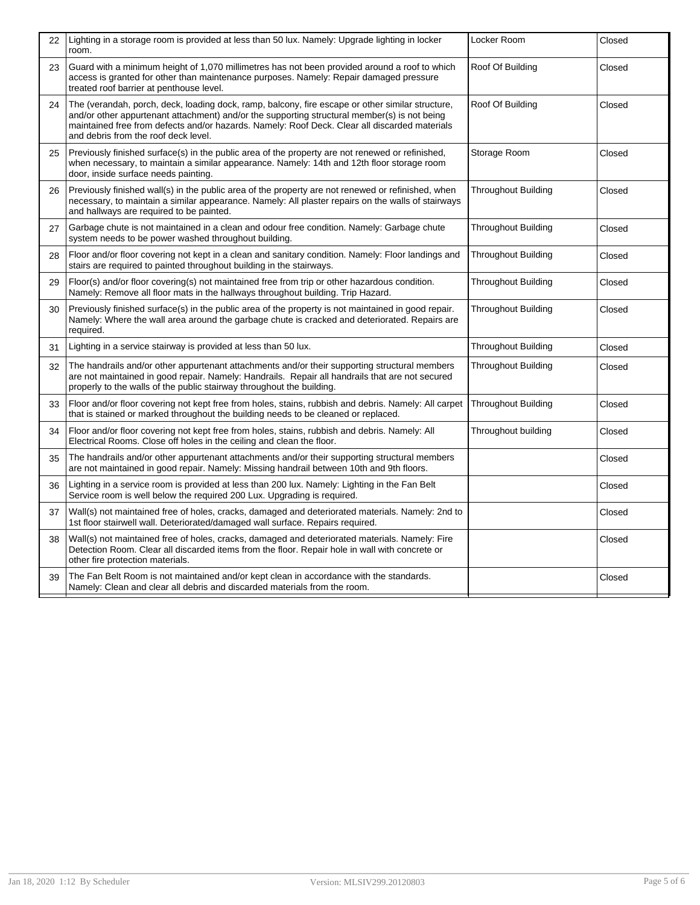| 22 | Lighting in a storage room is provided at less than 50 lux. Namely: Upgrade lighting in locker<br>room.                                                                                                                                                                                                                                   | Locker Room                | Closed |
|----|-------------------------------------------------------------------------------------------------------------------------------------------------------------------------------------------------------------------------------------------------------------------------------------------------------------------------------------------|----------------------------|--------|
| 23 | Guard with a minimum height of 1,070 millimetres has not been provided around a roof to which<br>access is granted for other than maintenance purposes. Namely: Repair damaged pressure<br>treated roof barrier at penthouse level.                                                                                                       | Roof Of Building           | Closed |
| 24 | The (verandah, porch, deck, loading dock, ramp, balcony, fire escape or other similar structure,<br>and/or other appurtenant attachment) and/or the supporting structural member(s) is not being<br>maintained free from defects and/or hazards. Namely: Roof Deck. Clear all discarded materials<br>and debris from the roof deck level. | Roof Of Building           | Closed |
| 25 | Previously finished surface(s) in the public area of the property are not renewed or refinished,<br>when necessary, to maintain a similar appearance. Namely: 14th and 12th floor storage room<br>door, inside surface needs painting.                                                                                                    | Storage Room               | Closed |
| 26 | Previously finished wall(s) in the public area of the property are not renewed or refinished, when<br>necessary, to maintain a similar appearance. Namely: All plaster repairs on the walls of stairways<br>and hallways are required to be painted.                                                                                      | <b>Throughout Building</b> | Closed |
| 27 | Garbage chute is not maintained in a clean and odour free condition. Namely: Garbage chute<br>system needs to be power washed throughout building.                                                                                                                                                                                        | <b>Throughout Building</b> | Closed |
| 28 | Floor and/or floor covering not kept in a clean and sanitary condition. Namely: Floor landings and<br>stairs are required to painted throughout building in the stairways.                                                                                                                                                                | <b>Throughout Building</b> | Closed |
| 29 | Floor(s) and/or floor covering(s) not maintained free from trip or other hazardous condition.<br>Namely: Remove all floor mats in the hallways throughout building. Trip Hazard.                                                                                                                                                          | <b>Throughout Building</b> | Closed |
| 30 | Previously finished surface(s) in the public area of the property is not maintained in good repair.<br>Namely: Where the wall area around the garbage chute is cracked and deteriorated. Repairs are<br>required.                                                                                                                         | <b>Throughout Building</b> | Closed |
| 31 | Lighting in a service stairway is provided at less than 50 lux.                                                                                                                                                                                                                                                                           | <b>Throughout Building</b> | Closed |
| 32 | The handrails and/or other appurtenant attachments and/or their supporting structural members<br>are not maintained in good repair. Namely: Handrails. Repair all handrails that are not secured<br>properly to the walls of the public stairway throughout the building.                                                                 | <b>Throughout Building</b> | Closed |
| 33 | Floor and/or floor covering not kept free from holes, stains, rubbish and debris. Namely: All carpet<br>that is stained or marked throughout the building needs to be cleaned or replaced.                                                                                                                                                | <b>Throughout Building</b> | Closed |
| 34 | Floor and/or floor covering not kept free from holes, stains, rubbish and debris. Namely: All<br>Electrical Rooms. Close off holes in the ceiling and clean the floor.                                                                                                                                                                    | Throughout building        | Closed |
| 35 | The handrails and/or other appurtenant attachments and/or their supporting structural members<br>are not maintained in good repair. Namely: Missing handrail between 10th and 9th floors.                                                                                                                                                 |                            | Closed |
| 36 | Lighting in a service room is provided at less than 200 lux. Namely: Lighting in the Fan Belt<br>Service room is well below the required 200 Lux. Upgrading is required.                                                                                                                                                                  |                            | Closed |
| 37 | Wall(s) not maintained free of holes, cracks, damaged and deteriorated materials. Namely: 2nd to<br>1st floor stairwell wall. Deteriorated/damaged wall surface. Repairs required.                                                                                                                                                        |                            | Closed |
| 38 | Wall(s) not maintained free of holes, cracks, damaged and deteriorated materials. Namely: Fire<br>Detection Room. Clear all discarded items from the floor. Repair hole in wall with concrete or<br>other fire protection materials.                                                                                                      |                            | Closed |
| 39 | The Fan Belt Room is not maintained and/or kept clean in accordance with the standards.<br>Namely: Clean and clear all debris and discarded materials from the room.                                                                                                                                                                      |                            | Closed |